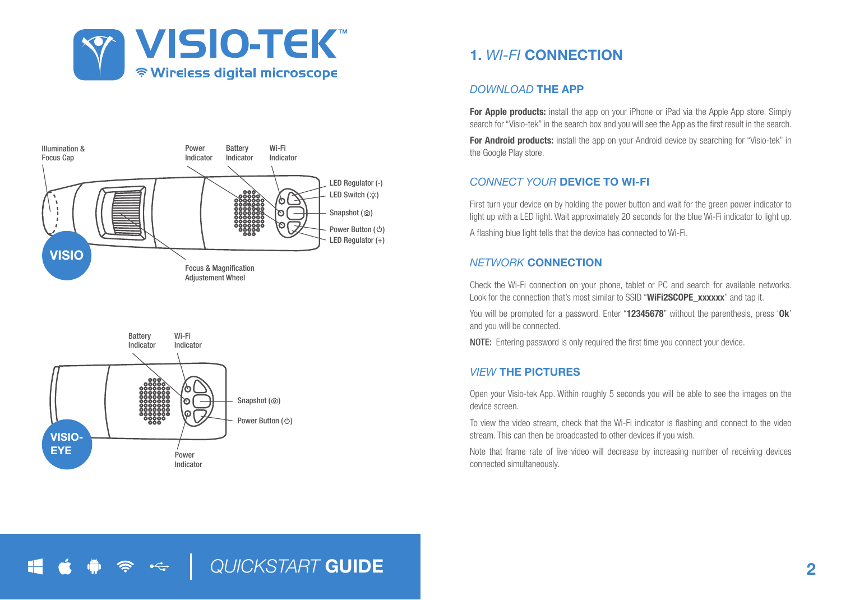





# 1. *WI-FI* CONNECTION

### *DOWNLOAD* THE APP

For Apple products: install the app on your iPhone or iPad via the Apple App store. Simply search for "Visio-tek" in the search box and you will see the App as the first result in the search.

For Android products: install the app on your Android device by searching for "Visio-tek" in the Google Play store.

## *CONNECT YOUR* DEVICE TO WI-FI

First turn your device on by holding the power button and wait for the green power indicator to light up with a LED light. Wait approximately 20 seconds for the blue Wi-Fi indicator to light up. A flashing blue light tells that the device has connected to Wi-Fi.

## *NETWORK* CONNECTION

Check the Wi-Fi connection on your phone, tablet or PC and search for available networks. Look for the connection that's most similar to SSID "WiFi2SCOPE\_xxxxxx" and tap it.

You will be prompted for a password. Enter "12345678" without the parenthesis, press 'Ok' and you will be connected.

NOTE: Entering password is only required the first time you connect your device.

## *VIEW* THE PICTURES

Open your Visio-tek App. Within roughly 5 seconds you will be able to see the images on the device screen.

To view the video stream, check that the Wi-Fi indicator is flashing and connect to the video stream. This can then be broadcasted to other devices if you wish.

Note that frame rate of live video will decrease by increasing number of receiving devices connected simultaneously.

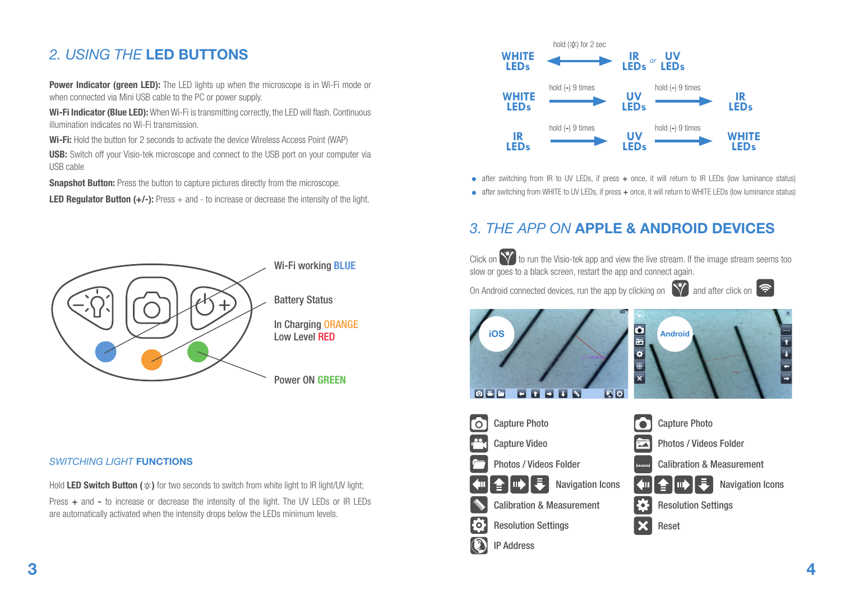# *2. USING THE* LED BUTTONS

**Power Indicator (green LED):** The LED lights up when the microscope is in Wi-Fi mode or when connected via Mini USB cable to the PC or power supply.

Wi-Fi Indicator (Blue LED): When Wi-Fi is transmitting correctly, the LED will flash. Continuous illumination indicates no Wi-Fi transmission.

Wi-Fi: Hold the button for 2 seconds to activate the device Wireless Access Point (WAP)

USB: Switch off your Visio-tek microscope and connect to the USB port on your computer via USB cable

**Snapshot Button:** Press the button to capture pictures directly from the microscope.

**LED Regulator Button (+/-):** Press  $+$  and  $-$  to increase or decrease the intensity of the light.



### **SWITCHING LIGHT FUNCTIONS**

Hold LED Switch Button ( $\psi$ ) for two seconds to switch from white light to IR light/UV light; Press + and - to increase or decrease the intensity of the light. The UV LEDs or IR LEDs are automatically activated when the intensity drops below the LEDs minimum levels.



- $\bullet$  after switching from IR to UV LEDs, if press  $+$  once, it will return to IR LEDs (low luminance status)
- after switching from WHITE to UV LEDs, if press + once, it will return to WHITE LEDs (low luminance status)

## *3. THE APP ON* APPLE & ANDROID DEVICES

Click on  $\mathbf{\hat{V}}$  to run the Visio-tek app and view the live stream. If the image stream seems too slow or goes to a black screen, restart the app and connect again.

On Android connected devices, run the app by clicking on  $\left|\nabla\right|$  and after click on  $\left|\nabla\right|$ 



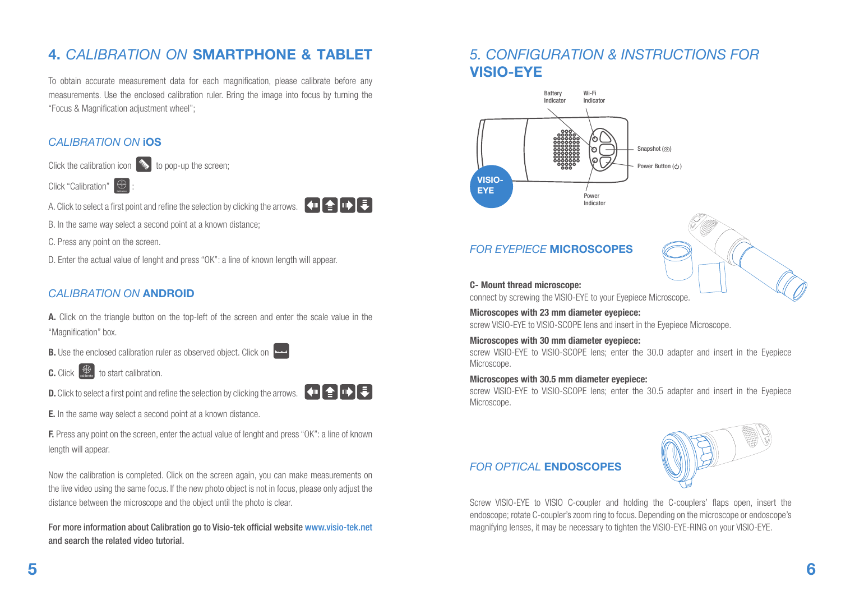# 4. *CALIBRATION ON* SMARTPHONE & TABLET

To obtain accurate measurement data for each magnification, please calibrate before any measurements. Use the enclosed calibration ruler. Bring the image into focus by turning the "Focus & Magnification adjustment wheel";

## *CALIBRATION ON* iOS

Click the calibration icon  $\gg$  to pop-up the screen;

Click "Calibration"  $\bigoplus$ 

A. Click to select a first point and refine the selection by clicking the arrows.  $\left\{ \leftarrow \right\}$ 



C. Press any point on the screen.

D. Enter the actual value of lenght and press "OK": a line of known length will appear.

## *CALIBRATION ON* ANDROID

A. Click on the triangle button on the top-left of the screen and enter the scale value in the "Magnification" box.

**B.** Use the enclosed calibration ruler as observed object. Click on

**C.** Click  $\bigoplus$  to start calibration.

D. Click to select a first point and refine the selection by clicking the arrows.

E. In the same way select a second point at a known distance.

F. Press any point on the screen, enter the actual value of lenght and press "OK": a line of known length will appear.

Now the calibration is completed. Click on the screen again, you can make measurements on the live video using the same focus. If the new photo object is not in focus, please only adjust the distance between the microscope and the object until the photo is clear.

For more information about Calibration go to Visio-tek official website www.visio-tek.net and search the related video tutorial.

## *5. CONFIGURATION & INSTRUCTIONS FOR*  VISIO-EYE



## *FOR EYEPIECE* MICROSCOPES

#### C- Mount thread microscope:

connect by screwing the VISIO-EYE to your Eyepiece Microscope.

Microscopes with 23 mm diameter eyepiece: screw VISIO-FYE to VISIO-SCOPE lens and insert in the Evepiece Microscope.

### Microscopes with 30 mm diameter eyepiece:

screw VISIO-EYE to VISIO-SCOPE lens; enter the 30.0 adapter and insert in the Eyepiece Microscope.

### Microscopes with 30.5 mm diameter eyepiece:

screw VISIO-EYE to VISIO-SCOPE lens; enter the 30.5 adapter and insert in the Eyepiece Microscope.

## *FOR OPTICAL* ENDOSCOPES